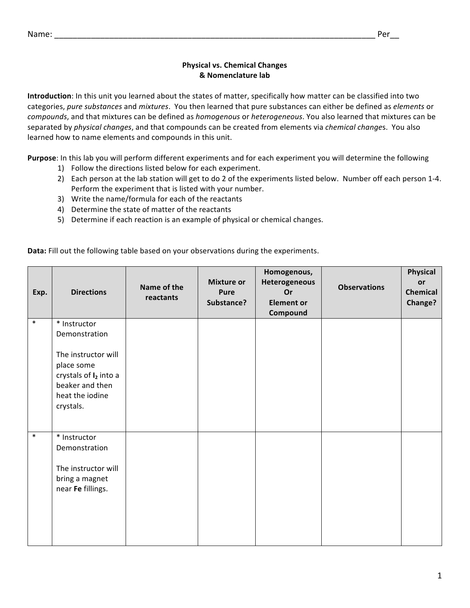## **Physical vs. Chemical Changes & Nomenclature lab**

**Introduction**: In this unit you learned about the states of matter, specifically how matter can be classified into two categories, pure substances and mixtures. You then learned that pure substances can either be defined as *elements* or *compounds*, and that mixtures can be defined as *homogenous* or *heterogeneous*. You also learned that mixtures can be separated by *physical changes*, and that compounds can be created from elements via *chemical changes*. You also learned how to name elements and compounds in this unit.

**Purpose**: In this lab you will perform different experiments and for each experiment you will determine the following

- 1) Follow the directions listed below for each experiment.
- 2) Each person at the lab station will get to do 2 of the experiments listed below. Number off each person 1-4. Perform the experiment that is listed with your number.
- 3) Write the name/formula for each of the reactants
- 4) Determine the state of matter of the reactants
- 5) Determine if each reaction is an example of physical or chemical changes.

**Data:** Fill out the following table based on your observations during the experiments.

| Exp.   | <b>Directions</b>                                                                                                                                 | Name of the<br>reactants | <b>Mixture or</b><br><b>Pure</b><br>Substance? | Homogenous,<br>Heterogeneous<br>Or<br><b>Element or</b><br>Compound | <b>Observations</b> | <b>Physical</b><br>or<br>Chemical<br>Change? |
|--------|---------------------------------------------------------------------------------------------------------------------------------------------------|--------------------------|------------------------------------------------|---------------------------------------------------------------------|---------------------|----------------------------------------------|
| $\ast$ | * Instructor<br>Demonstration<br>The instructor will<br>place some<br>crystals of $I_2$ into a<br>beaker and then<br>heat the iodine<br>crystals. |                          |                                                |                                                                     |                     |                                              |
| $\ast$ | * Instructor<br>Demonstration<br>The instructor will<br>bring a magnet<br>near Fe fillings.                                                       |                          |                                                |                                                                     |                     |                                              |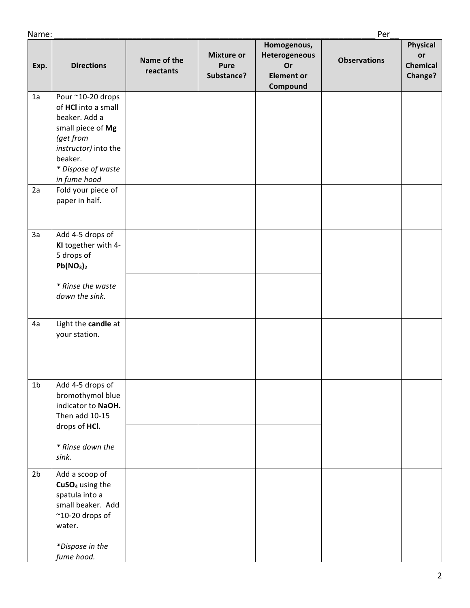| Name:          |                                                                                                                                                                                            |                          |                                                |                                                                     | Per                 |                                                     |
|----------------|--------------------------------------------------------------------------------------------------------------------------------------------------------------------------------------------|--------------------------|------------------------------------------------|---------------------------------------------------------------------|---------------------|-----------------------------------------------------|
| Exp.           | <b>Directions</b>                                                                                                                                                                          | Name of the<br>reactants | <b>Mixture or</b><br><b>Pure</b><br>Substance? | Homogenous,<br>Heterogeneous<br>Or<br><b>Element or</b><br>Compound | <b>Observations</b> | <b>Physical</b><br>or<br><b>Chemical</b><br>Change? |
| 1a<br>2a       | Pour ~10-20 drops<br>of HCl into a small<br>beaker. Add a<br>small piece of Mg<br>(get from<br>instructor) into the<br>beaker.<br>* Dispose of waste<br>in fume hood<br>Fold your piece of |                          |                                                |                                                                     |                     |                                                     |
|                | paper in half.                                                                                                                                                                             |                          |                                                |                                                                     |                     |                                                     |
| 3a             | Add 4-5 drops of<br>KI together with 4-<br>5 drops of<br>Pb(NO <sub>3</sub> ) <sub>2</sub><br>* Rinse the waste<br>down the sink.                                                          |                          |                                                |                                                                     |                     |                                                     |
| 4a             | Light the candle at<br>your station.                                                                                                                                                       |                          |                                                |                                                                     |                     |                                                     |
| 1 <sub>b</sub> | Add 4-5 drops of<br>bromothymol blue<br>indicator to NaOH.<br>Then add 10-15<br>drops of HCI.<br>* Rinse down the<br>sink.                                                                 |                          |                                                |                                                                     |                     |                                                     |
| 2 <sub>b</sub> | Add a scoop of<br>CuSO <sub>4</sub> using the<br>spatula into a<br>small beaker. Add<br>$^{\sim}$ 10-20 drops of<br>water.<br>*Dispose in the<br>fume hood.                                |                          |                                                |                                                                     |                     |                                                     |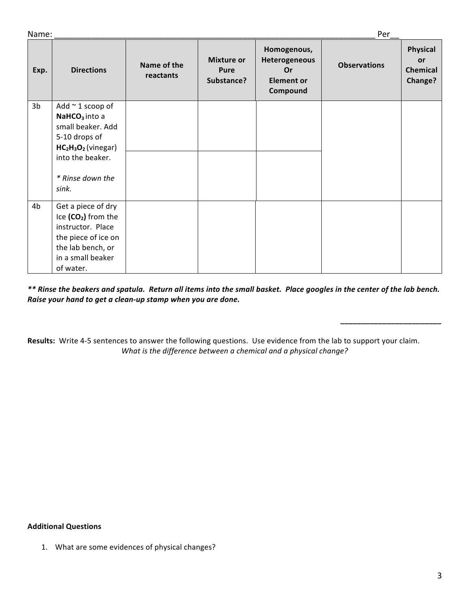| Name: |
|-------|
|-------|

*\_\_\_\_\_\_\_\_\_\_\_\_\_\_\_\_\_\_\_\_\_\_\_\_*

| Name:<br>Per   |                                                                                                                                                                  |                          |                                         |                                                                     |                     |                                                     |
|----------------|------------------------------------------------------------------------------------------------------------------------------------------------------------------|--------------------------|-----------------------------------------|---------------------------------------------------------------------|---------------------|-----------------------------------------------------|
| Exp.           | <b>Directions</b>                                                                                                                                                | Name of the<br>reactants | <b>Mixture or</b><br>Pure<br>Substance? | Homogenous,<br>Heterogeneous<br>Or<br><b>Element or</b><br>Compound | <b>Observations</b> | Physical<br>or<br><b>Chemical</b><br><b>Change?</b> |
| 3 <sub>b</sub> | Add $\sim$ 1 scoop of<br>NaHCO <sub>3</sub> into a<br>small beaker. Add<br>5-10 drops of<br>$HC2H3O2$ (vinegar)<br>into the beaker.<br>* Rinse down the<br>sink. |                          |                                         |                                                                     |                     |                                                     |
| 4 <sub>b</sub> | Get a piece of dry<br>Ice (CO <sub>2</sub> ) from the<br>instructor. Place<br>the piece of ice on<br>the lab bench, or<br>in a small beaker<br>of water.         |                          |                                         |                                                                     |                     |                                                     |

\*\* Rinse the beakers and spatula. Return all items into the small basket. Place googles in the center of the lab bench. *Raise your hand to get a clean-up stamp when you are done.* 

Results: Write 4-5 sentences to answer the following questions. Use evidence from the lab to support your claim. *What is the difference between a chemical and a physical change?* 

## **Additional Questions**

1. What are some evidences of physical changes?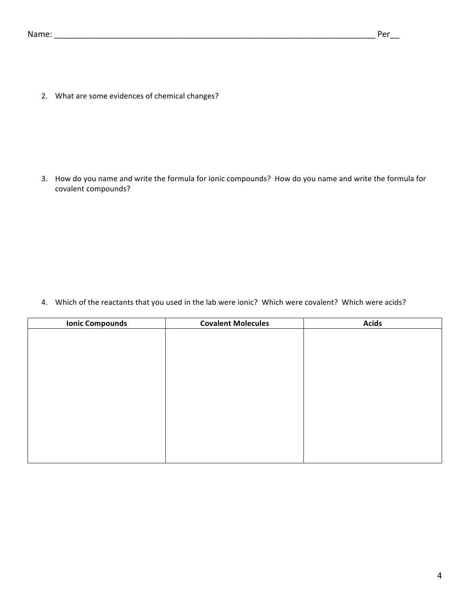2. What are some evidences of chemical changes?

3. How do you name and write the formula for ionic compounds? How do you name and write the formula for covalent compounds?

4. Which of the reactants that you used in the lab were ionic? Which were covalent? Which were acids?

| <b>Ionic Compounds</b> | <b>Covalent Molecules</b> | <b>Acids</b> |
|------------------------|---------------------------|--------------|
|                        |                           |              |
|                        |                           |              |
|                        |                           |              |
|                        |                           |              |
|                        |                           |              |
|                        |                           |              |
|                        |                           |              |
|                        |                           |              |
|                        |                           |              |
|                        |                           |              |
|                        |                           |              |
|                        |                           |              |